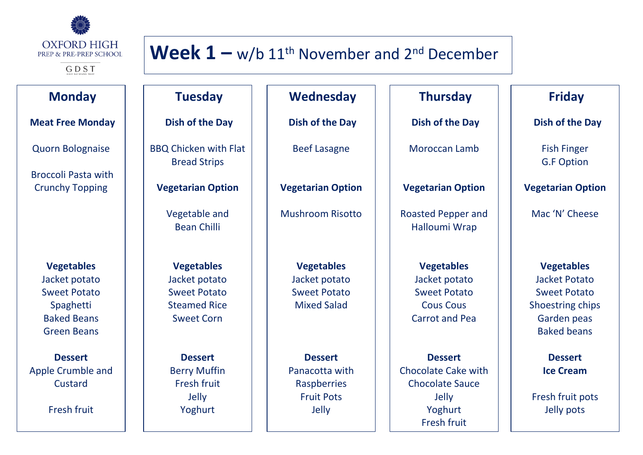

GDST

#### **Monday**

#### **Meat Free Monday**

Quorn Bolognaise

Broccoli Pasta with Crunchy Topping

> **Vegetables** Jacket potato Sweet Potato Spaghetti Baked Beans Green Beans

**Dessert** Apple Crumble and Custard

Fresh fruit

### **Wednesday**

**Week**  $1 - w/b$  11<sup>th</sup> November and  $2^{nd}$  December

**Dish of the Day**

Beef Lasagne

**Vegetarian Option**

Mushroom Risotto

**Vegetables** Jacket potato Sweet Potato Mixed Salad

**Dessert** Panacotta with Raspberries Fruit Pots Jelly

### **Thursday**

**Dish of the Day**

Moroccan Lamb

**Vegetarian Option**

Roasted Pepper and Halloumi Wrap

> **Vegetables** Jacket potato Sweet Potato Cous Cous Carrot and Pea

**Dessert** Chocolate Cake with Chocolate Sauce Jelly Yoghurt Fresh fruit

#### **Friday**

**Dish of the Day**

Fish Finger G.F Option

**Vegetarian Option**

Mac 'N' Cheese

**Vegetables** Jacket Potato Sweet Potato Shoestring chips Garden peas Baked beans

> **Dessert Ice Cream**

Fresh fruit pots Jelly pots

**Vegetables** Jacket potato Sweet Potato Steamed Rice

Sweet Corn

**Tuesday**

**Dish of the Day**

BBQ Chicken with Flat Bread Strips

**Vegetarian Option**

Vegetable and Bean Chilli

**Dessert** Berry Muffin Fresh fruit Jelly Yoghurt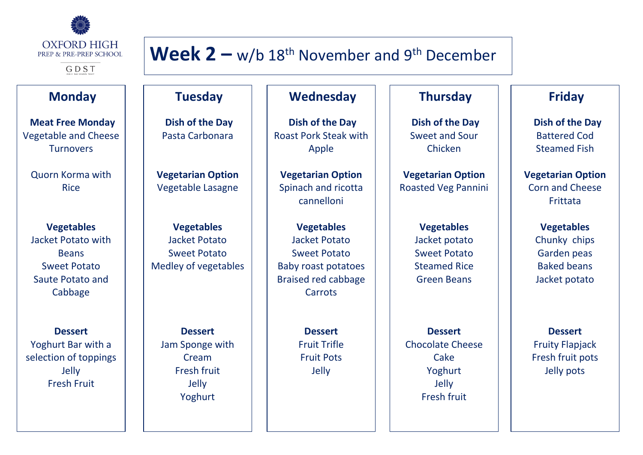

GDST

#### **Monday**

**Meat Free Monday** Vegetable and Cheese **Turnovers** 

Quorn Korma with Rice

**Vegetables** Jacket Potato with **Beans** Sweet Potato Saute Potato and Cabbage

**Dessert** Yoghurt Bar with a selection of toppings Jelly Fresh Fruit

# **Week 2 –** w/b 18th November and 9th December

#### **Wednesday**

**Tuesday**

**Dish of the Day** Pasta Carbonara

**Vegetarian Option** Vegetable Lasagne

**Vegetables** Jacket Potato Sweet Potato Medley of vegetables

**Dessert** Jam Sponge with Cream Fresh fruit Jelly Yoghurt

**Dish of the Day** Roast Pork Steak with Apple

**Vegetarian Option** Spinach and ricotta cannelloni

**Vegetables** Jacket Potato Sweet Potato Baby roast potatoes Braised red cabbage Carrots

> **Dessert** Fruit Trifle Fruit Pots Jelly

#### **Thursday**

**Dish of the Day** Sweet and Sour Chicken

**Vegetarian Option** Roasted Veg Pannini

> **Vegetables** Jacket potato Sweet Potato Steamed Rice Green Beans

**Dessert** Chocolate Cheese Cake Yoghurt Jelly Fresh fruit

## **Friday**

**Dish of the Day** Battered Cod Steamed Fish

**Vegetarian Option** Corn and Cheese **Frittata** 

> **Vegetables** Chunky chips Garden peas Baked beans Jacket potato

**Dessert** Fruity Flapjack Fresh fruit pots Jelly pots